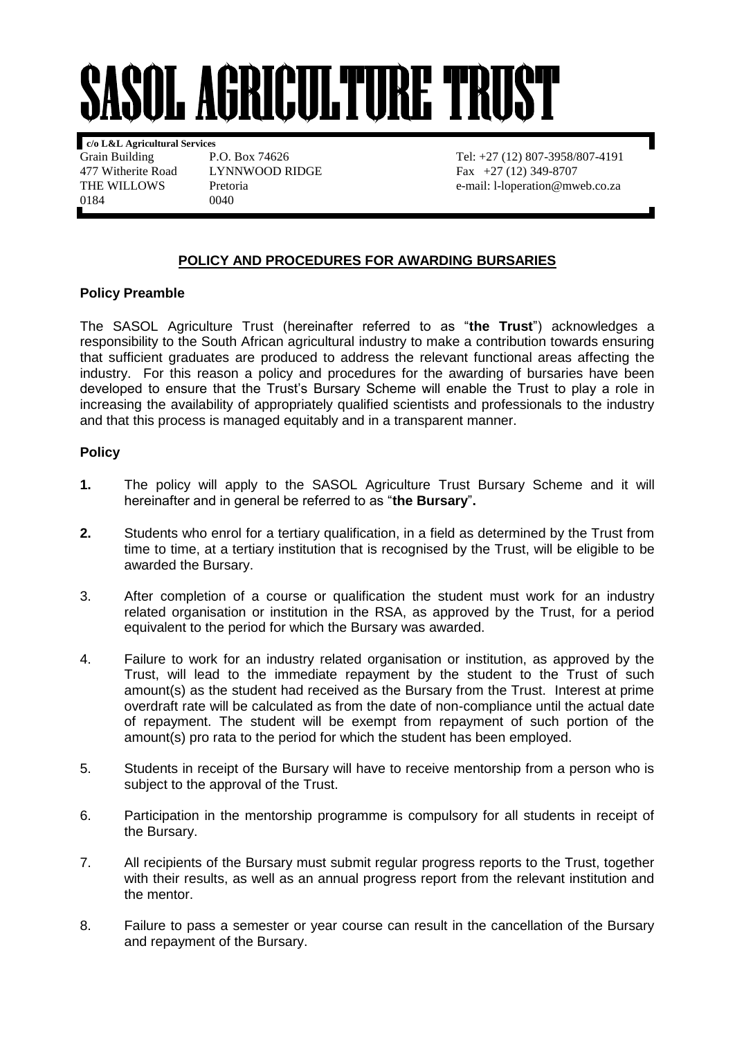## **ASOL AGRICULTURE TRUST**

**c/o L&L Agricultural Services** 477 Witherite Road LYNNWOOD RIDGE Fax +27 (12) 349-8707<br>THE WILLOWS Pretoria e-mail: 1-loneration @mw 0184 0040

Grain Building P.O. Box 74626 Tel: +27 (12) 807-3958/807-4191 Pretoria e-mail: l-loperation@mweb.co.za

## **POLICY AND PROCEDURES FOR AWARDING BURSARIES**

## **Policy Preamble**

The SASOL Agriculture Trust (hereinafter referred to as "**the Trust**") acknowledges a responsibility to the South African agricultural industry to make a contribution towards ensuring that sufficient graduates are produced to address the relevant functional areas affecting the industry. For this reason a policy and procedures for the awarding of bursaries have been developed to ensure that the Trust's Bursary Scheme will enable the Trust to play a role in increasing the availability of appropriately qualified scientists and professionals to the industry and that this process is managed equitably and in a transparent manner.

## **Policy**

- **1.** The policy will apply to the SASOL Agriculture Trust Bursary Scheme and it will hereinafter and in general be referred to as "**the Bursary**"**.**
- **2.** Students who enrol for a tertiary qualification, in a field as determined by the Trust from time to time, at a tertiary institution that is recognised by the Trust, will be eligible to be awarded the Bursary.
- 3. After completion of a course or qualification the student must work for an industry related organisation or institution in the RSA, as approved by the Trust, for a period equivalent to the period for which the Bursary was awarded.
- 4. Failure to work for an industry related organisation or institution, as approved by the Trust, will lead to the immediate repayment by the student to the Trust of such amount(s) as the student had received as the Bursary from the Trust. Interest at prime overdraft rate will be calculated as from the date of non-compliance until the actual date of repayment. The student will be exempt from repayment of such portion of the amount(s) pro rata to the period for which the student has been employed.
- 5. Students in receipt of the Bursary will have to receive mentorship from a person who is subject to the approval of the Trust.
- 6. Participation in the mentorship programme is compulsory for all students in receipt of the Bursary.
- 7. All recipients of the Bursary must submit regular progress reports to the Trust, together with their results, as well as an annual progress report from the relevant institution and the mentor.
- 8. Failure to pass a semester or year course can result in the cancellation of the Bursary and repayment of the Bursary.